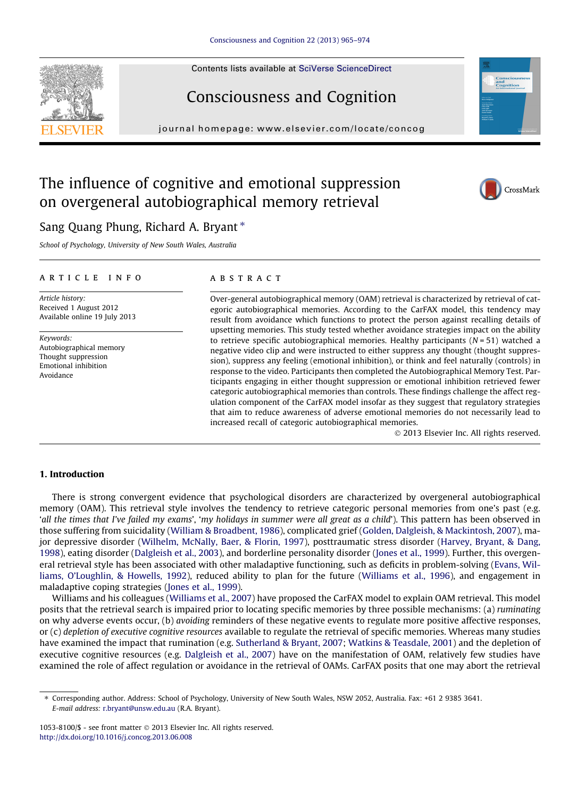Contents lists available at [SciVerse ScienceDirect](http://www.sciencedirect.com/science/journal/10538100)

# Consciousness and Cognition

journal homepage: [www.elsevier.com/locate/concog](http://www.elsevier.com/locate/concog)

## The influence of cognitive and emotional suppression on overgeneral autobiographical memory retrieval

## Sang Quang Phung, Richard A. Bryant\*

School of Psychology, University of New South Wales, Australia

### article info

Article history: Received 1 August 2012 Available online 19 July 2013

Keywords: Autobiographical memory Thought suppression Emotional inhibition Avoidance

## ABSTRACT

Over-general autobiographical memory (OAM) retrieval is characterized by retrieval of categoric autobiographical memories. According to the CarFAX model, this tendency may result from avoidance which functions to protect the person against recalling details of upsetting memories. This study tested whether avoidance strategies impact on the ability to retrieve specific autobiographical memories. Healthy participants  $(N = 51)$  watched a negative video clip and were instructed to either suppress any thought (thought suppression), suppress any feeling (emotional inhibition), or think and feel naturally (controls) in response to the video. Participants then completed the Autobiographical Memory Test. Participants engaging in either thought suppression or emotional inhibition retrieved fewer categoric autobiographical memories than controls. These findings challenge the affect regulation component of the CarFAX model insofar as they suggest that regulatory strategies that aim to reduce awareness of adverse emotional memories do not necessarily lead to increased recall of categoric autobiographical memories.

- 2013 Elsevier Inc. All rights reserved.

## 1. Introduction

There is strong convergent evidence that psychological disorders are characterized by overgeneral autobiographical memory (OAM). This retrieval style involves the tendency to retrieve categoric personal memories from one's past (e.g. 'all the times that I've failed my exams', 'my holidays in summer were all great as a child'). This pattern has been observed in those suffering from suicidality ([William & Broadbent, 1986](#page--1-0)), complicated grief ([Golden, Dalgleish, & Mackintosh, 2007](#page--1-0)), major depressive disorder ([Wilhelm, McNally, Baer, & Florin, 1997](#page--1-0)), posttraumatic stress disorder [\(Harvey, Bryant, & Dang,](#page--1-0) [1998\)](#page--1-0), eating disorder [\(Dalgleish et al., 2003\)](#page--1-0), and borderline personality disorder [\(Jones et al., 1999\)](#page--1-0). Further, this overgeneral retrieval style has been associated with other maladaptive functioning, such as deficits in problem-solving [\(Evans, Wil](#page--1-0)[liams, O'Loughlin, & Howells, 1992\)](#page--1-0), reduced ability to plan for the future ([Williams et al., 1996](#page--1-0)), and engagement in maladaptive coping strategies [\(Jones et al., 1999](#page--1-0)).

Williams and his colleagues ([Williams et al., 2007](#page--1-0)) have proposed the CarFAX model to explain OAM retrieval. This model posits that the retrieval search is impaired prior to locating specific memories by three possible mechanisms: (a) ruminating on why adverse events occur, (b) avoiding reminders of these negative events to regulate more positive affective responses, or (c) depletion of executive cognitive resources available to regulate the retrieval of specific memories. Whereas many studies have examined the impact that rumination (e.g. [Sutherland & Bryant, 2007](#page--1-0); [Watkins & Teasdale, 2001\)](#page--1-0) and the depletion of executive cognitive resources (e.g. [Dalgleish et al., 2007](#page--1-0)) have on the manifestation of OAM, relatively few studies have examined the role of affect regulation or avoidance in the retrieval of OAMs. CarFAX posits that one may abort the retrieval

1053-8100/\$ - see front matter © 2013 Elsevier Inc. All rights reserved. <http://dx.doi.org/10.1016/j.concog.2013.06.008>







<sup>⇑</sup> Corresponding author. Address: School of Psychology, University of New South Wales, NSW 2052, Australia. Fax: +61 2 9385 3641. E-mail address: [r.bryant@unsw.edu.au](mailto:r.bryant@unsw.edu.au) (R.A. Bryant).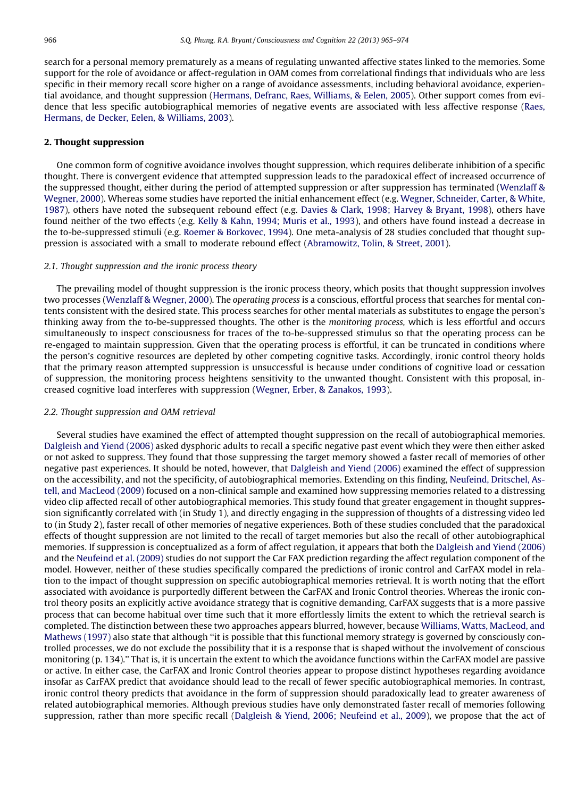search for a personal memory prematurely as a means of regulating unwanted affective states linked to the memories. Some support for the role of avoidance or affect-regulation in OAM comes from correlational findings that individuals who are less specific in their memory recall score higher on a range of avoidance assessments, including behavioral avoidance, experiential avoidance, and thought suppression [\(Hermans, Defranc, Raes, Williams, & Eelen, 2005](#page--1-0)). Other support comes from evidence that less specific autobiographical memories of negative events are associated with less affective response [\(Raes,](#page--1-0) [Hermans, de Decker, Eelen, & Williams, 2003\)](#page--1-0).

## 2. Thought suppression

One common form of cognitive avoidance involves thought suppression, which requires deliberate inhibition of a specific thought. There is convergent evidence that attempted suppression leads to the paradoxical effect of increased occurrence of the suppressed thought, either during the period of attempted suppression or after suppression has terminated ([Wenzlaff &](#page--1-0) [Wegner, 2000](#page--1-0)). Whereas some studies have reported the initial enhancement effect (e.g. [Wegner, Schneider, Carter, & White,](#page--1-0) [1987](#page--1-0)), others have noted the subsequent rebound effect (e.g. [Davies & Clark, 1998; Harvey & Bryant, 1998\)](#page--1-0), others have found neither of the two effects (e.g. [Kelly & Kahn, 1994; Muris et al., 1993\)](#page--1-0), and others have found instead a decrease in the to-be-suppressed stimuli (e.g. [Roemer & Borkovec, 1994](#page--1-0)). One meta-analysis of 28 studies concluded that thought suppression is associated with a small to moderate rebound effect [\(Abramowitz, Tolin, & Street, 2001\)](#page--1-0).

## 2.1. Thought suppression and the ironic process theory

The prevailing model of thought suppression is the ironic process theory, which posits that thought suppression involves two processes ([Wenzlaff & Wegner, 2000](#page--1-0)). The operating process is a conscious, effortful process that searches for mental contents consistent with the desired state. This process searches for other mental materials as substitutes to engage the person's thinking away from the to-be-suppressed thoughts. The other is the monitoring process, which is less effortful and occurs simultaneously to inspect consciousness for traces of the to-be-suppressed stimulus so that the operating process can be re-engaged to maintain suppression. Given that the operating process is effortful, it can be truncated in conditions where the person's cognitive resources are depleted by other competing cognitive tasks. Accordingly, ironic control theory holds that the primary reason attempted suppression is unsuccessful is because under conditions of cognitive load or cessation of suppression, the monitoring process heightens sensitivity to the unwanted thought. Consistent with this proposal, increased cognitive load interferes with suppression [\(Wegner, Erber, & Zanakos, 1993\)](#page--1-0).

#### 2.2. Thought suppression and OAM retrieval

Several studies have examined the effect of attempted thought suppression on the recall of autobiographical memories. [Dalgleish and Yiend \(2006\)](#page--1-0) asked dysphoric adults to recall a specific negative past event which they were then either asked or not asked to suppress. They found that those suppressing the target memory showed a faster recall of memories of other negative past experiences. It should be noted, however, that [Dalgleish and Yiend \(2006\)](#page--1-0) examined the effect of suppression on the accessibility, and not the specificity, of autobiographical memories. Extending on this finding, [Neufeind, Dritschel, As](#page--1-0)[tell, and MacLeod \(2009\)](#page--1-0) focused on a non-clinical sample and examined how suppressing memories related to a distressing video clip affected recall of other autobiographical memories. This study found that greater engagement in thought suppression significantly correlated with (in Study 1), and directly engaging in the suppression of thoughts of a distressing video led to (in Study 2), faster recall of other memories of negative experiences. Both of these studies concluded that the paradoxical effects of thought suppression are not limited to the recall of target memories but also the recall of other autobiographical memories. If suppression is conceptualized as a form of affect regulation, it appears that both the [Dalgleish and Yiend \(2006\)](#page--1-0) and the [Neufeind et al. \(2009\)](#page--1-0) studies do not support the Car FAX prediction regarding the affect regulation component of the model. However, neither of these studies specifically compared the predictions of ironic control and CarFAX model in relation to the impact of thought suppression on specific autobiographical memories retrieval. It is worth noting that the effort associated with avoidance is purportedly different between the CarFAX and Ironic Control theories. Whereas the ironic control theory posits an explicitly active avoidance strategy that is cognitive demanding, CarFAX suggests that is a more passive process that can become habitual over time such that it more effortlessly limits the extent to which the retrieval search is completed. The distinction between these two approaches appears blurred, however, because [Williams, Watts, MacLeod, and](#page--1-0) [Mathews \(1997\)](#page--1-0) also state that although ''it is possible that this functional memory strategy is governed by consciously controlled processes, we do not exclude the possibility that it is a response that is shaped without the involvement of conscious monitoring (p. 134)." That is, it is uncertain the extent to which the avoidance functions within the CarFAX model are passive or active. In either case, the CarFAX and Ironic Control theories appear to propose distinct hypotheses regarding avoidance insofar as CarFAX predict that avoidance should lead to the recall of fewer specific autobiographical memories. In contrast, ironic control theory predicts that avoidance in the form of suppression should paradoxically lead to greater awareness of related autobiographical memories. Although previous studies have only demonstrated faster recall of memories following suppression, rather than more specific recall [\(Dalgleish & Yiend, 2006; Neufeind et al., 2009\)](#page--1-0), we propose that the act of